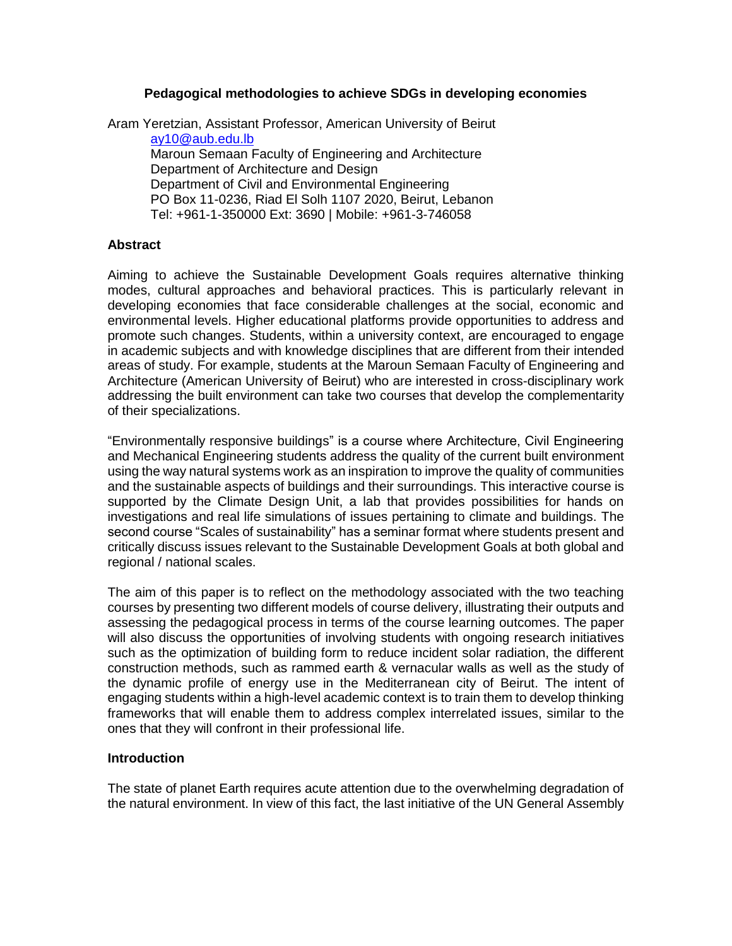## **Pedagogical methodologies to achieve SDGs in developing economies**

Aram Yeretzian, Assistant Professor, American University of Beirut [ay10@aub.edu.lb](mailto:ay10@aub.edu.lb)

Maroun Semaan Faculty of Engineering and Architecture Department of Architecture and Design Department of Civil and Environmental Engineering PO Box 11-0236, Riad El Solh 1107 2020, Beirut, Lebanon Tel: +961-1-350000 Ext: 3690 | Mobile: +961-3-746058

### **Abstract**

Aiming to achieve the Sustainable Development Goals requires alternative thinking modes, cultural approaches and behavioral practices. This is particularly relevant in developing economies that face considerable challenges at the social, economic and environmental levels. Higher educational platforms provide opportunities to address and promote such changes. Students, within a university context, are encouraged to engage in academic subjects and with knowledge disciplines that are different from their intended areas of study. For example, students at the Maroun Semaan Faculty of Engineering and Architecture (American University of Beirut) who are interested in cross-disciplinary work addressing the built environment can take two courses that develop the complementarity of their specializations.

"Environmentally responsive buildings" is a course where Architecture, Civil Engineering and Mechanical Engineering students address the quality of the current built environment using the way natural systems work as an inspiration to improve the quality of communities and the sustainable aspects of buildings and their surroundings. This interactive course is supported by the Climate Design Unit, a lab that provides possibilities for hands on investigations and real life simulations of issues pertaining to climate and buildings. The second course "Scales of sustainability" has a seminar format where students present and critically discuss issues relevant to the Sustainable Development Goals at both global and regional / national scales.

The aim of this paper is to reflect on the methodology associated with the two teaching courses by presenting two different models of course delivery, illustrating their outputs and assessing the pedagogical process in terms of the course learning outcomes. The paper will also discuss the opportunities of involving students with ongoing research initiatives such as the optimization of building form to reduce incident solar radiation, the different construction methods, such as rammed earth & vernacular walls as well as the study of the dynamic profile of energy use in the Mediterranean city of Beirut. The intent of engaging students within a high-level academic context is to train them to develop thinking frameworks that will enable them to address complex interrelated issues, similar to the ones that they will confront in their professional life.

### **Introduction**

The state of planet Earth requires acute attention due to the overwhelming degradation of the natural environment. In view of this fact, the last initiative of the UN General Assembly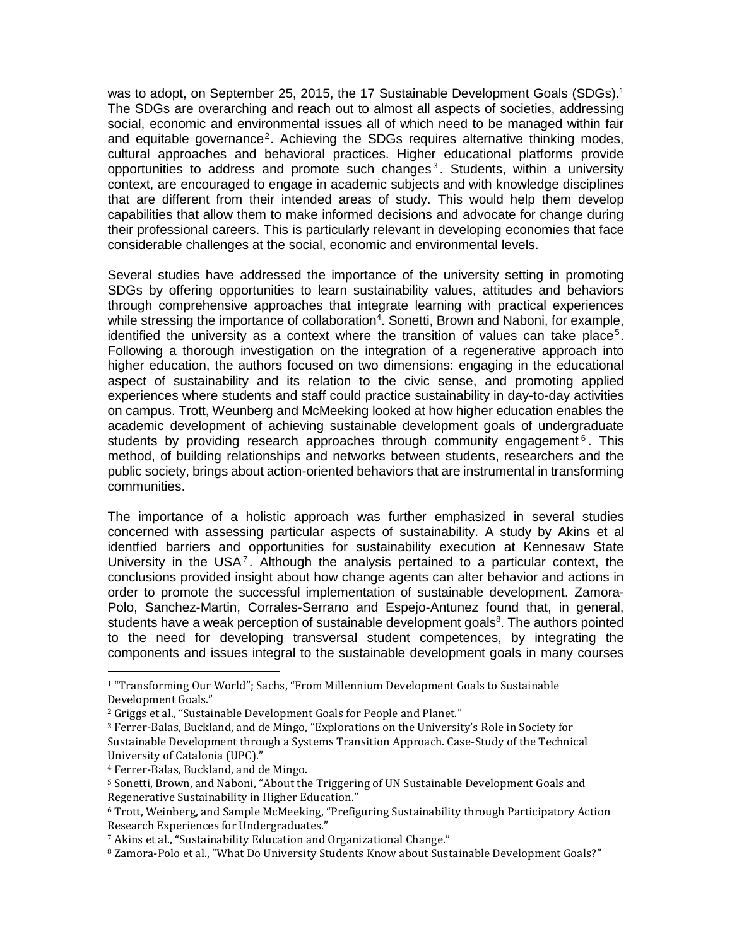was to adopt, on September 25, 2015, the 17 Sustainable Development Goals (SDGs).<sup>1</sup> The SDGs are overarching and reach out to almost all aspects of societies, addressing social, economic and environmental issues all of which need to be managed within fair and equitable governance<sup>2</sup>. Achieving the SDGs requires alternative thinking modes, cultural approaches and behavioral practices. Higher educational platforms provide opportunities to address and promote such changes<sup>3</sup>. Students, within a university context, are encouraged to engage in academic subjects and with knowledge disciplines that are different from their intended areas of study. This would help them develop capabilities that allow them to make informed decisions and advocate for change during their professional careers. This is particularly relevant in developing economies that face considerable challenges at the social, economic and environmental levels.

Several studies have addressed the importance of the university setting in promoting SDGs by offering opportunities to learn sustainability values, attitudes and behaviors through comprehensive approaches that integrate learning with practical experiences while stressing the importance of collaboration<sup>4</sup>. Sonetti, Brown and Naboni, for example, identified the university as a context where the transition of values can take place<sup>5</sup>. Following a thorough investigation on the integration of a regenerative approach into higher education, the authors focused on two dimensions: engaging in the educational aspect of sustainability and its relation to the civic sense, and promoting applied experiences where students and staff could practice sustainability in day-to-day activities on campus. Trott, Weunberg and McMeeking looked at how higher education enables the academic development of achieving sustainable development goals of undergraduate students by providing research approaches through community engagement<sup>6</sup>. This method, of building relationships and networks between students, researchers and the public society, brings about action-oriented behaviors that are instrumental in transforming communities.

The importance of a holistic approach was further emphasized in several studies concerned with assessing particular aspects of sustainability. A study by Akins et al identfied barriers and opportunities for sustainability execution at Kennesaw State University in the USA<sup>7</sup>. Although the analysis pertained to a particular context, the conclusions provided insight about how change agents can alter behavior and actions in order to promote the successful implementation of sustainable development. Zamora-Polo, Sanchez-Martin, Corrales-Serrano and Espejo-Antunez found that, in general, students have a weak perception of sustainable development goals<sup>8</sup>. The authors pointed to the need for developing transversal student competences, by integrating the components and issues integral to the sustainable development goals in many courses

l

<sup>1</sup> "Transforming Our World"; Sachs, "From Millennium Development Goals to Sustainable Development Goals."

<sup>2</sup> Griggs et al., "Sustainable Development Goals for People and Planet."

<sup>3</sup> Ferrer-Balas, Buckland, and de Mingo, "Explorations on the University's Role in Society for Sustainable Development through a Systems Transition Approach. Case-Study of the Technical University of Catalonia (UPC)."

<sup>4</sup> Ferrer-Balas, Buckland, and de Mingo.

<sup>5</sup> Sonetti, Brown, and Naboni, "About the Triggering of UN Sustainable Development Goals and Regenerative Sustainability in Higher Education."

<sup>6</sup> Trott, Weinberg, and Sample McMeeking, "Prefiguring Sustainability through Participatory Action Research Experiences for Undergraduates."

<sup>7</sup> Akins et al., "Sustainability Education and Organizational Change."

<sup>8</sup> Zamora-Polo et al., "What Do University Students Know about Sustainable Development Goals?"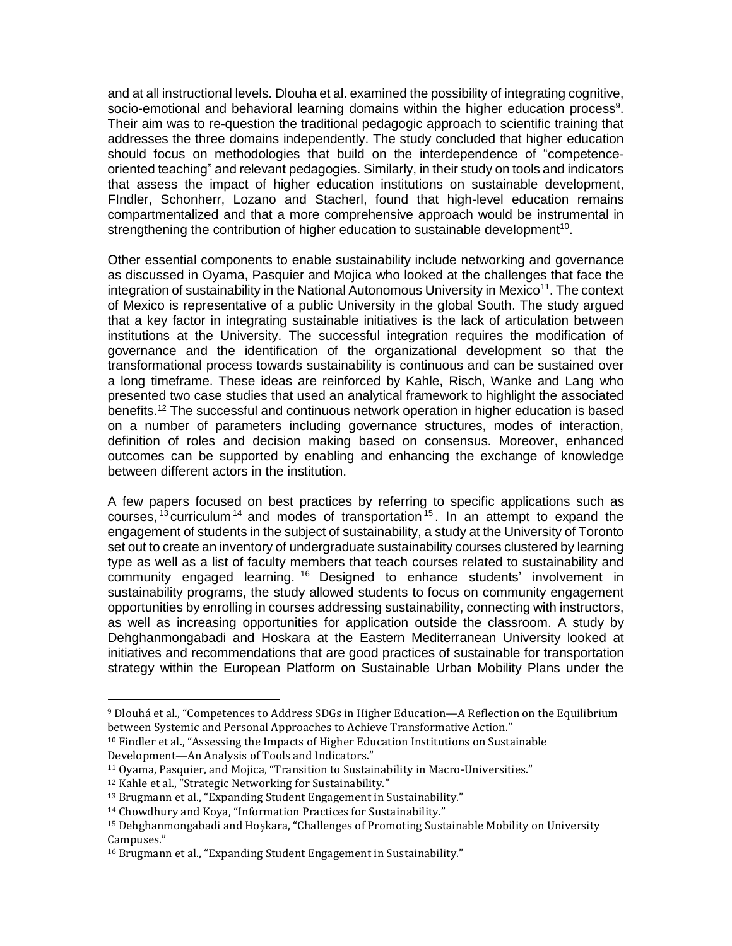and at all instructional levels. Dlouha et al. examined the possibility of integrating cognitive, socio-emotional and behavioral learning domains within the higher education process<sup>9</sup>. Their aim was to re-question the traditional pedagogic approach to scientific training that addresses the three domains independently. The study concluded that higher education should focus on methodologies that build on the interdependence of "competenceoriented teaching" and relevant pedagogies. Similarly, in their study on tools and indicators that assess the impact of higher education institutions on sustainable development, FIndler, Schonherr, Lozano and Stacherl, found that high-level education remains compartmentalized and that a more comprehensive approach would be instrumental in strengthening the contribution of higher education to sustainable development<sup>10</sup>.

Other essential components to enable sustainability include networking and governance as discussed in Oyama, Pasquier and Mojica who looked at the challenges that face the integration of sustainability in the National Autonomous University in Mexico<sup>11</sup>. The context of Mexico is representative of a public University in the global South. The study argued that a key factor in integrating sustainable initiatives is the lack of articulation between institutions at the University. The successful integration requires the modification of governance and the identification of the organizational development so that the transformational process towards sustainability is continuous and can be sustained over a long timeframe. These ideas are reinforced by Kahle, Risch, Wanke and Lang who presented two case studies that used an analytical framework to highlight the associated benefits.<sup>12</sup> The successful and continuous network operation in higher education is based on a number of parameters including governance structures, modes of interaction, definition of roles and decision making based on consensus. Moreover, enhanced outcomes can be supported by enabling and enhancing the exchange of knowledge between different actors in the institution.

A few papers focused on best practices by referring to specific applications such as courses,  $13$  curriculum  $14$  and modes of transportation  $15$ . In an attempt to expand the engagement of students in the subject of sustainability, a study at the University of Toronto set out to create an inventory of undergraduate sustainability courses clustered by learning type as well as a list of faculty members that teach courses related to sustainability and community engaged learning. <sup>16</sup> Designed to enhance students' involvement in sustainability programs, the study allowed students to focus on community engagement opportunities by enrolling in courses addressing sustainability, connecting with instructors, as well as increasing opportunities for application outside the classroom. A study by Dehghanmongabadi and Hoskara at the Eastern Mediterranean University looked at initiatives and recommendations that are good practices of sustainable for transportation strategy within the European Platform on Sustainable Urban Mobility Plans under the

<sup>11</sup> Oyama, Pasquier, and Mojica, "Transition to Sustainability in Macro-Universities."

 $\overline{a}$ 

<sup>9</sup> Dlouhá et al., "Competences to Address SDGs in Higher Education—A Reflection on the Equilibrium between Systemic and Personal Approaches to Achieve Transformative Action."

<sup>10</sup> Findler et al., "Assessing the Impacts of Higher Education Institutions on Sustainable Development—An Analysis of Tools and Indicators."

<sup>12</sup> Kahle et al., "Strategic Networking for Sustainability."

<sup>13</sup> Brugmann et al., "Expanding Student Engagement in Sustainability."

<sup>14</sup> Chowdhury and Koya, "Information Practices for Sustainability."

<sup>15</sup> Dehghanmongabadi and Hoşkara, "Challenges of Promoting Sustainable Mobility on University Campuses."

<sup>16</sup> Brugmann et al., "Expanding Student Engagement in Sustainability."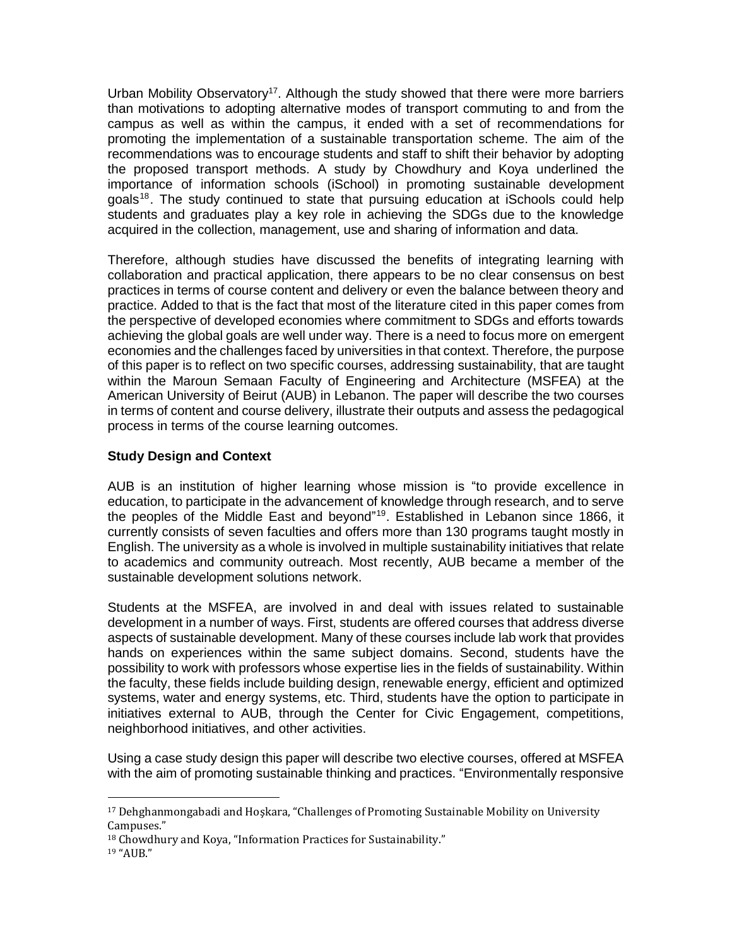Urban Mobility Observatory<sup>17</sup>. Although the study showed that there were more barriers than motivations to adopting alternative modes of transport commuting to and from the campus as well as within the campus, it ended with a set of recommendations for promoting the implementation of a sustainable transportation scheme. The aim of the recommendations was to encourage students and staff to shift their behavior by adopting the proposed transport methods. A study by Chowdhury and Koya underlined the importance of information schools (iSchool) in promoting sustainable development  $g$ oals<sup>18</sup>. The study continued to state that pursuing education at iSchools could help students and graduates play a key role in achieving the SDGs due to the knowledge acquired in the collection, management, use and sharing of information and data.

Therefore, although studies have discussed the benefits of integrating learning with collaboration and practical application, there appears to be no clear consensus on best practices in terms of course content and delivery or even the balance between theory and practice. Added to that is the fact that most of the literature cited in this paper comes from the perspective of developed economies where commitment to SDGs and efforts towards achieving the global goals are well under way. There is a need to focus more on emergent economies and the challenges faced by universities in that context. Therefore, the purpose of this paper is to reflect on two specific courses, addressing sustainability, that are taught within the Maroun Semaan Faculty of Engineering and Architecture (MSFEA) at the American University of Beirut (AUB) in Lebanon. The paper will describe the two courses in terms of content and course delivery, illustrate their outputs and assess the pedagogical process in terms of the course learning outcomes.

# **Study Design and Context**

AUB is an institution of higher learning whose mission is "to provide excellence in education, to participate in the advancement of knowledge through research, and to serve the peoples of the Middle East and beyond"<sup>19</sup>. Established in Lebanon since 1866, it currently consists of seven faculties and offers more than 130 programs taught mostly in English. The university as a whole is involved in multiple sustainability initiatives that relate to academics and community outreach. Most recently, AUB became a member of the sustainable development solutions network.

Students at the MSFEA, are involved in and deal with issues related to sustainable development in a number of ways. First, students are offered courses that address diverse aspects of sustainable development. Many of these courses include lab work that provides hands on experiences within the same subject domains. Second, students have the possibility to work with professors whose expertise lies in the fields of sustainability. Within the faculty, these fields include building design, renewable energy, efficient and optimized systems, water and energy systems, etc. Third, students have the option to participate in initiatives external to AUB, through the Center for Civic Engagement, competitions, neighborhood initiatives, and other activities.

Using a case study design this paper will describe two elective courses, offered at MSFEA with the aim of promoting sustainable thinking and practices. "Environmentally responsive

 $\overline{a}$ 

<sup>17</sup> Dehghanmongabadi and Hoşkara, "Challenges of Promoting Sustainable Mobility on University Campuses."

<sup>&</sup>lt;sup>18</sup> Chowdhury and Koya, "Information Practices for Sustainability."

<sup>19</sup> "AUB."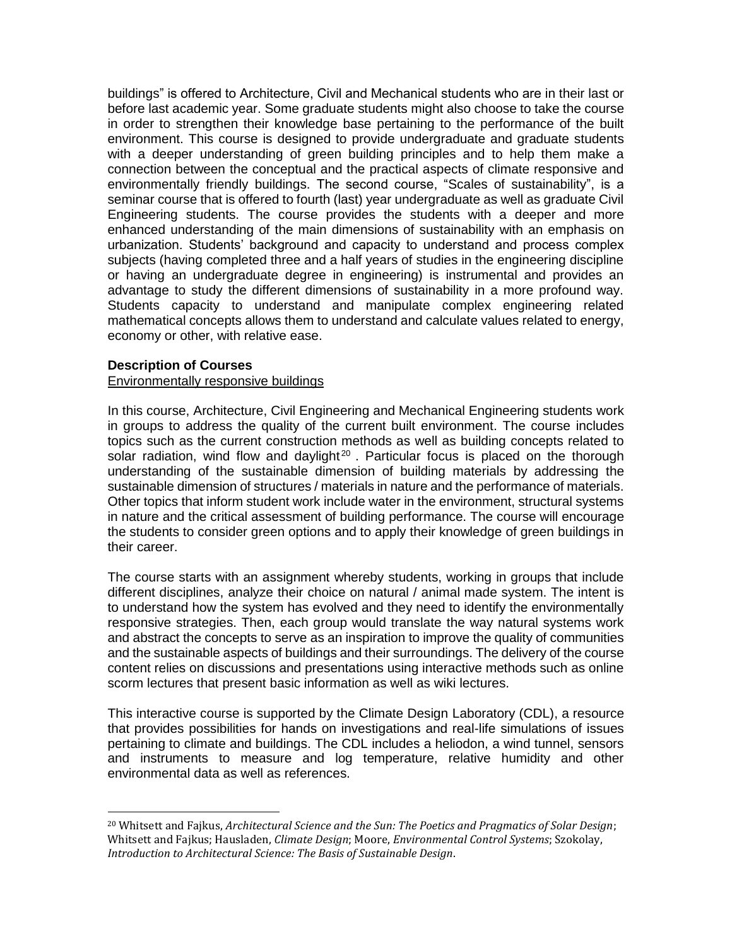buildings" is offered to Architecture, Civil and Mechanical students who are in their last or before last academic year. Some graduate students might also choose to take the course in order to strengthen their knowledge base pertaining to the performance of the built environment. This course is designed to provide undergraduate and graduate students with a deeper understanding of green building principles and to help them make a connection between the conceptual and the practical aspects of climate responsive and environmentally friendly buildings. The second course, "Scales of sustainability", is a seminar course that is offered to fourth (last) year undergraduate as well as graduate Civil Engineering students. The course provides the students with a deeper and more enhanced understanding of the main dimensions of sustainability with an emphasis on urbanization. Students' background and capacity to understand and process complex subjects (having completed three and a half years of studies in the engineering discipline or having an undergraduate degree in engineering) is instrumental and provides an advantage to study the different dimensions of sustainability in a more profound way. Students capacity to understand and manipulate complex engineering related mathematical concepts allows them to understand and calculate values related to energy, economy or other, with relative ease.

## **Description of Courses**

 $\overline{a}$ 

### Environmentally responsive buildings

In this course, Architecture, Civil Engineering and Mechanical Engineering students work in groups to address the quality of the current built environment. The course includes topics such as the current construction methods as well as building concepts related to solar radiation, wind flow and daylight<sup>20</sup>. Particular focus is placed on the thorough understanding of the sustainable dimension of building materials by addressing the sustainable dimension of structures / materials in nature and the performance of materials. Other topics that inform student work include water in the environment, structural systems in nature and the critical assessment of building performance. The course will encourage the students to consider green options and to apply their knowledge of green buildings in their career.

The course starts with an assignment whereby students, working in groups that include different disciplines, analyze their choice on natural / animal made system. The intent is to understand how the system has evolved and they need to identify the environmentally responsive strategies. Then, each group would translate the way natural systems work and abstract the concepts to serve as an inspiration to improve the quality of communities and the sustainable aspects of buildings and their surroundings. The delivery of the course content relies on discussions and presentations using interactive methods such as online scorm lectures that present basic information as well as wiki lectures.

This interactive course is supported by the Climate Design Laboratory (CDL), a resource that provides possibilities for hands on investigations and real-life simulations of issues pertaining to climate and buildings. The CDL includes a heliodon, a wind tunnel, sensors and instruments to measure and log temperature, relative humidity and other environmental data as well as references.

<sup>20</sup> Whitsett and Fajkus, *Architectural Science and the Sun: The Poetics and Pragmatics of Solar Design*; Whitsett and Fajkus; Hausladen, *Climate Design*; Moore, *Environmental Control Systems*; Szokolay, *Introduction to Architectural Science: The Basis of Sustainable Design*.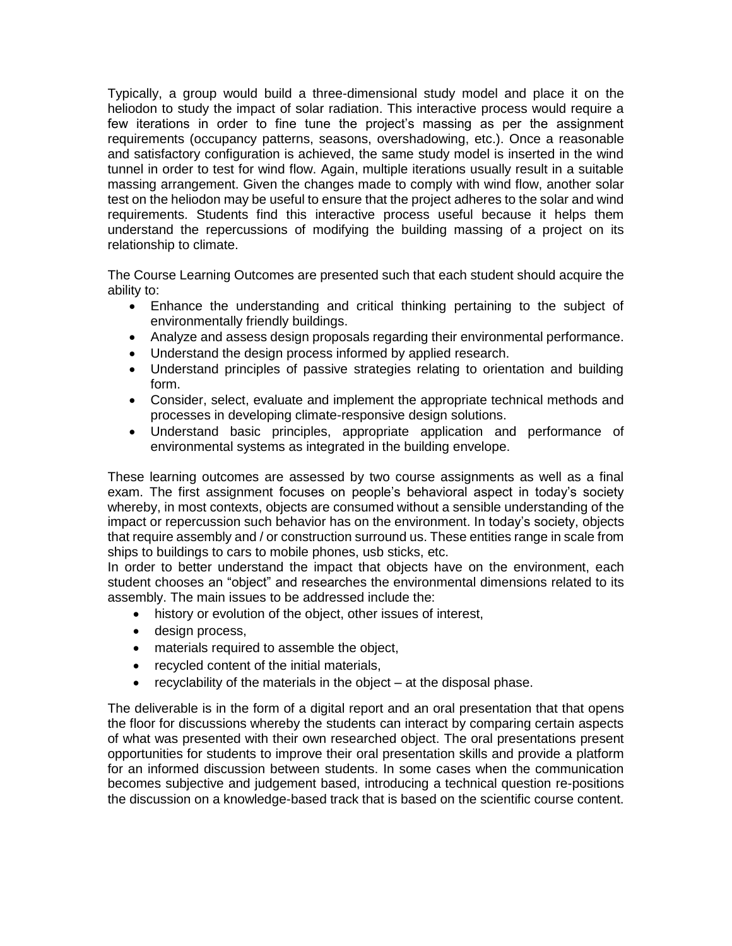Typically, a group would build a three-dimensional study model and place it on the heliodon to study the impact of solar radiation. This interactive process would require a few iterations in order to fine tune the project's massing as per the assignment requirements (occupancy patterns, seasons, overshadowing, etc.). Once a reasonable and satisfactory configuration is achieved, the same study model is inserted in the wind tunnel in order to test for wind flow. Again, multiple iterations usually result in a suitable massing arrangement. Given the changes made to comply with wind flow, another solar test on the heliodon may be useful to ensure that the project adheres to the solar and wind requirements. Students find this interactive process useful because it helps them understand the repercussions of modifying the building massing of a project on its relationship to climate.

The Course Learning Outcomes are presented such that each student should acquire the ability to:

- Enhance the understanding and critical thinking pertaining to the subject of environmentally friendly buildings.
- Analyze and assess design proposals regarding their environmental performance.
- Understand the design process informed by applied research.
- Understand principles of passive strategies relating to orientation and building form.
- Consider, select, evaluate and implement the appropriate technical methods and processes in developing climate-responsive design solutions.
- Understand basic principles, appropriate application and performance of environmental systems as integrated in the building envelope.

These learning outcomes are assessed by two course assignments as well as a final exam. The first assignment focuses on people's behavioral aspect in today's society whereby, in most contexts, objects are consumed without a sensible understanding of the impact or repercussion such behavior has on the environment. In today's society, objects that require assembly and / or construction surround us. These entities range in scale from ships to buildings to cars to mobile phones, usb sticks, etc.

In order to better understand the impact that objects have on the environment, each student chooses an "object" and researches the environmental dimensions related to its assembly. The main issues to be addressed include the:

- history or evolution of the object, other issues of interest,
- design process,
- materials required to assemble the object,
- recycled content of the initial materials,
- recyclability of the materials in the object at the disposal phase.

The deliverable is in the form of a digital report and an oral presentation that that opens the floor for discussions whereby the students can interact by comparing certain aspects of what was presented with their own researched object. The oral presentations present opportunities for students to improve their oral presentation skills and provide a platform for an informed discussion between students. In some cases when the communication becomes subjective and judgement based, introducing a technical question re-positions the discussion on a knowledge-based track that is based on the scientific course content.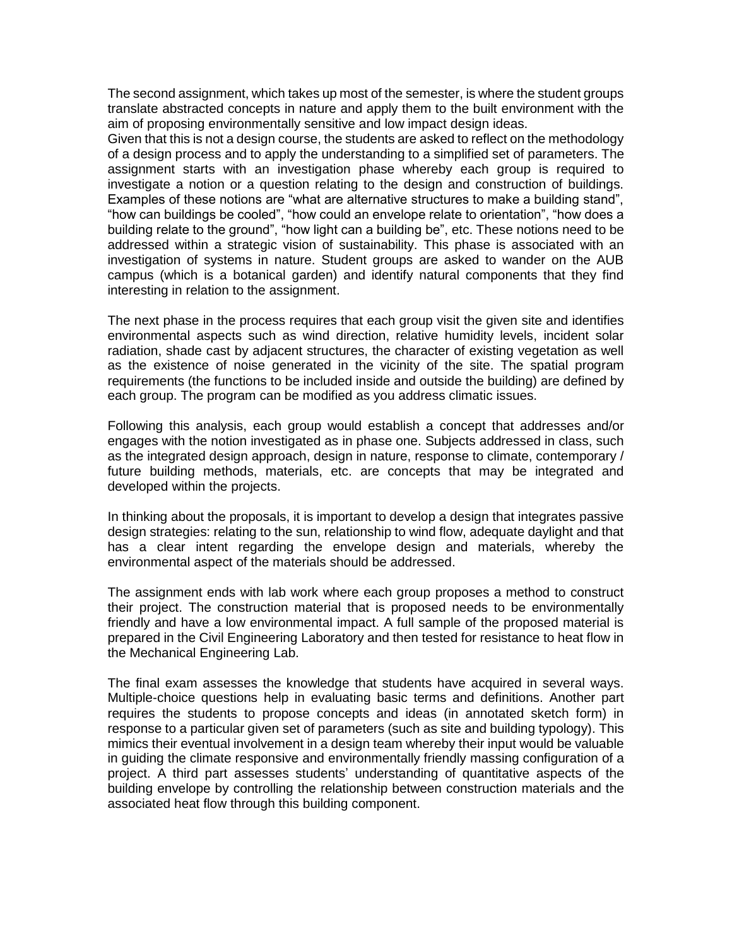The second assignment, which takes up most of the semester, is where the student groups translate abstracted concepts in nature and apply them to the built environment with the aim of proposing environmentally sensitive and low impact design ideas.

Given that this is not a design course, the students are asked to reflect on the methodology of a design process and to apply the understanding to a simplified set of parameters. The assignment starts with an investigation phase whereby each group is required to investigate a notion or a question relating to the design and construction of buildings. Examples of these notions are "what are alternative structures to make a building stand", "how can buildings be cooled", "how could an envelope relate to orientation", "how does a building relate to the ground", "how light can a building be", etc. These notions need to be addressed within a strategic vision of sustainability. This phase is associated with an investigation of systems in nature. Student groups are asked to wander on the AUB campus (which is a botanical garden) and identify natural components that they find interesting in relation to the assignment.

The next phase in the process requires that each group visit the given site and identifies environmental aspects such as wind direction, relative humidity levels, incident solar radiation, shade cast by adjacent structures, the character of existing vegetation as well as the existence of noise generated in the vicinity of the site. The spatial program requirements (the functions to be included inside and outside the building) are defined by each group. The program can be modified as you address climatic issues.

Following this analysis, each group would establish a concept that addresses and/or engages with the notion investigated as in phase one. Subjects addressed in class, such as the integrated design approach, design in nature, response to climate, contemporary / future building methods, materials, etc. are concepts that may be integrated and developed within the projects.

In thinking about the proposals, it is important to develop a design that integrates passive design strategies: relating to the sun, relationship to wind flow, adequate daylight and that has a clear intent regarding the envelope design and materials, whereby the environmental aspect of the materials should be addressed.

The assignment ends with lab work where each group proposes a method to construct their project. The construction material that is proposed needs to be environmentally friendly and have a low environmental impact. A full sample of the proposed material is prepared in the Civil Engineering Laboratory and then tested for resistance to heat flow in the Mechanical Engineering Lab.

The final exam assesses the knowledge that students have acquired in several ways. Multiple-choice questions help in evaluating basic terms and definitions. Another part requires the students to propose concepts and ideas (in annotated sketch form) in response to a particular given set of parameters (such as site and building typology). This mimics their eventual involvement in a design team whereby their input would be valuable in guiding the climate responsive and environmentally friendly massing configuration of a project. A third part assesses students' understanding of quantitative aspects of the building envelope by controlling the relationship between construction materials and the associated heat flow through this building component.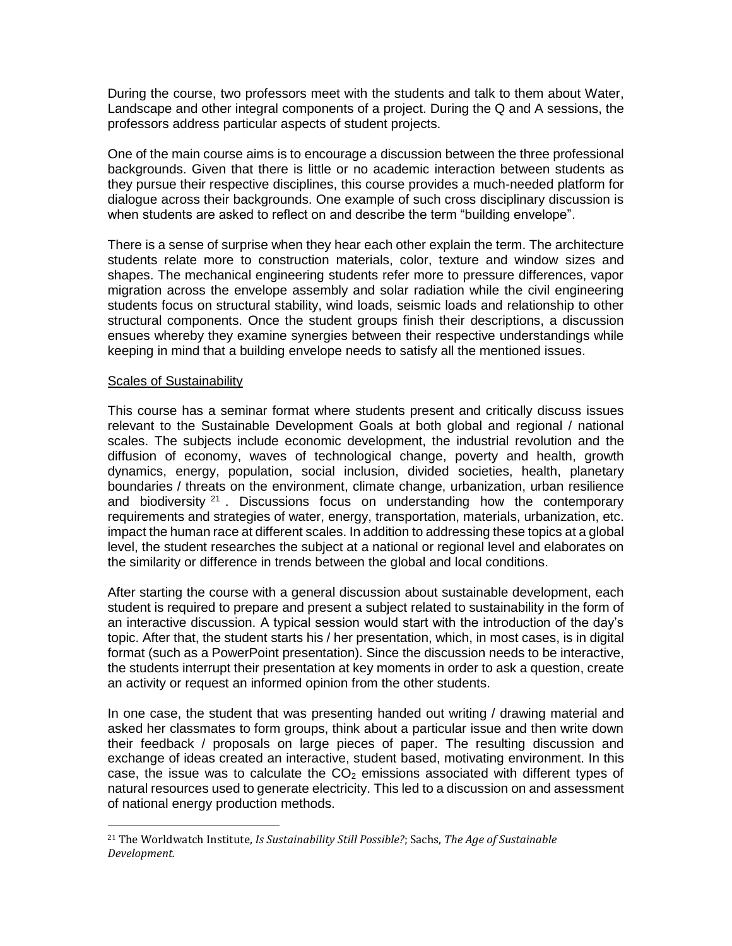During the course, two professors meet with the students and talk to them about Water, Landscape and other integral components of a project. During the Q and A sessions, the professors address particular aspects of student projects.

One of the main course aims is to encourage a discussion between the three professional backgrounds. Given that there is little or no academic interaction between students as they pursue their respective disciplines, this course provides a much-needed platform for dialogue across their backgrounds. One example of such cross disciplinary discussion is when students are asked to reflect on and describe the term "building envelope".

There is a sense of surprise when they hear each other explain the term. The architecture students relate more to construction materials, color, texture and window sizes and shapes. The mechanical engineering students refer more to pressure differences, vapor migration across the envelope assembly and solar radiation while the civil engineering students focus on structural stability, wind loads, seismic loads and relationship to other structural components. Once the student groups finish their descriptions, a discussion ensues whereby they examine synergies between their respective understandings while keeping in mind that a building envelope needs to satisfy all the mentioned issues.

## Scales of Sustainability

 $\overline{a}$ 

This course has a seminar format where students present and critically discuss issues relevant to the Sustainable Development Goals at both global and regional / national scales. The subjects include economic development, the industrial revolution and the diffusion of economy, waves of technological change, poverty and health, growth dynamics, energy, population, social inclusion, divided societies, health, planetary boundaries / threats on the environment, climate change, urbanization, urban resilience and biodiversity  $2^1$ . Discussions focus on understanding how the contemporary requirements and strategies of water, energy, transportation, materials, urbanization, etc. impact the human race at different scales. In addition to addressing these topics at a global level, the student researches the subject at a national or regional level and elaborates on the similarity or difference in trends between the global and local conditions.

After starting the course with a general discussion about sustainable development, each student is required to prepare and present a subject related to sustainability in the form of an interactive discussion. A typical session would start with the introduction of the day's topic. After that, the student starts his / her presentation, which, in most cases, is in digital format (such as a PowerPoint presentation). Since the discussion needs to be interactive, the students interrupt their presentation at key moments in order to ask a question, create an activity or request an informed opinion from the other students.

In one case, the student that was presenting handed out writing / drawing material and asked her classmates to form groups, think about a particular issue and then write down their feedback / proposals on large pieces of paper. The resulting discussion and exchange of ideas created an interactive, student based, motivating environment. In this case, the issue was to calculate the  $CO<sub>2</sub>$  emissions associated with different types of natural resources used to generate electricity. This led to a discussion on and assessment of national energy production methods.

<sup>21</sup> The Worldwatch Institute, *Is Sustainability Still Possible?*; Sachs, *The Age of Sustainable Development.*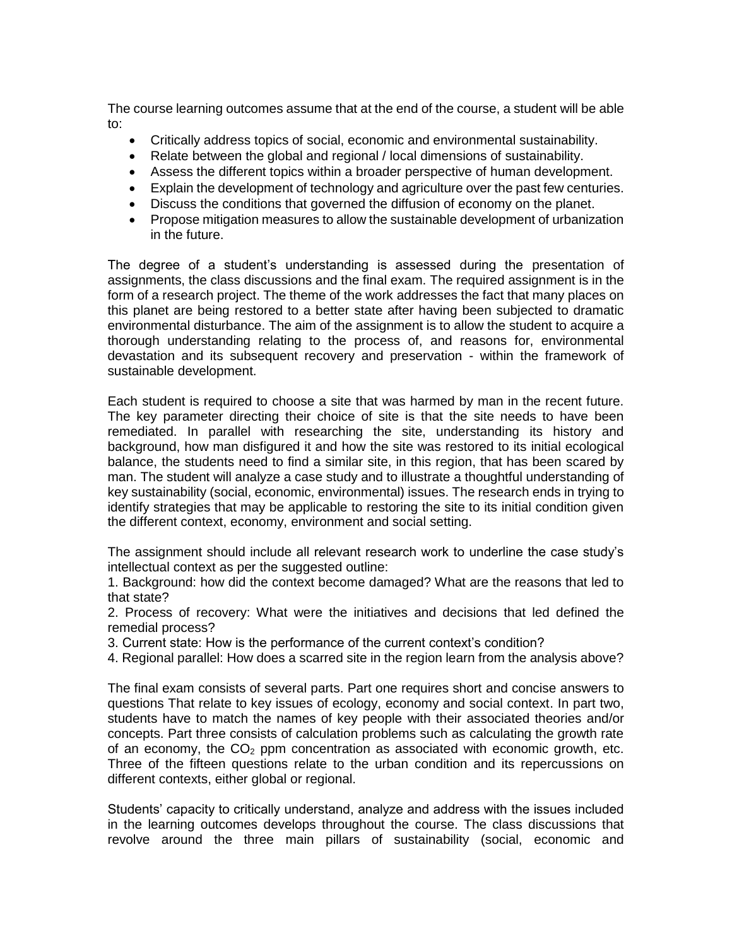The course learning outcomes assume that at the end of the course, a student will be able to:

- Critically address topics of social, economic and environmental sustainability.
- Relate between the global and regional / local dimensions of sustainability.
- Assess the different topics within a broader perspective of human development.
- Explain the development of technology and agriculture over the past few centuries.
- Discuss the conditions that governed the diffusion of economy on the planet.
- Propose mitigation measures to allow the sustainable development of urbanization in the future.

The degree of a student's understanding is assessed during the presentation of assignments, the class discussions and the final exam. The required assignment is in the form of a research project. The theme of the work addresses the fact that many places on this planet are being restored to a better state after having been subjected to dramatic environmental disturbance. The aim of the assignment is to allow the student to acquire a thorough understanding relating to the process of, and reasons for, environmental devastation and its subsequent recovery and preservation - within the framework of sustainable development.

Each student is required to choose a site that was harmed by man in the recent future. The key parameter directing their choice of site is that the site needs to have been remediated. In parallel with researching the site, understanding its history and background, how man disfigured it and how the site was restored to its initial ecological balance, the students need to find a similar site, in this region, that has been scared by man. The student will analyze a case study and to illustrate a thoughtful understanding of key sustainability (social, economic, environmental) issues. The research ends in trying to identify strategies that may be applicable to restoring the site to its initial condition given the different context, economy, environment and social setting.

The assignment should include all relevant research work to underline the case study's intellectual context as per the suggested outline:

1. Background: how did the context become damaged? What are the reasons that led to that state?

2. Process of recovery: What were the initiatives and decisions that led defined the remedial process?

- 3. Current state: How is the performance of the current context's condition?
- 4. Regional parallel: How does a scarred site in the region learn from the analysis above?

The final exam consists of several parts. Part one requires short and concise answers to questions That relate to key issues of ecology, economy and social context. In part two, students have to match the names of key people with their associated theories and/or concepts. Part three consists of calculation problems such as calculating the growth rate of an economy, the  $CO<sub>2</sub>$  ppm concentration as associated with economic growth, etc. Three of the fifteen questions relate to the urban condition and its repercussions on different contexts, either global or regional.

Students' capacity to critically understand, analyze and address with the issues included in the learning outcomes develops throughout the course. The class discussions that revolve around the three main pillars of sustainability (social, economic and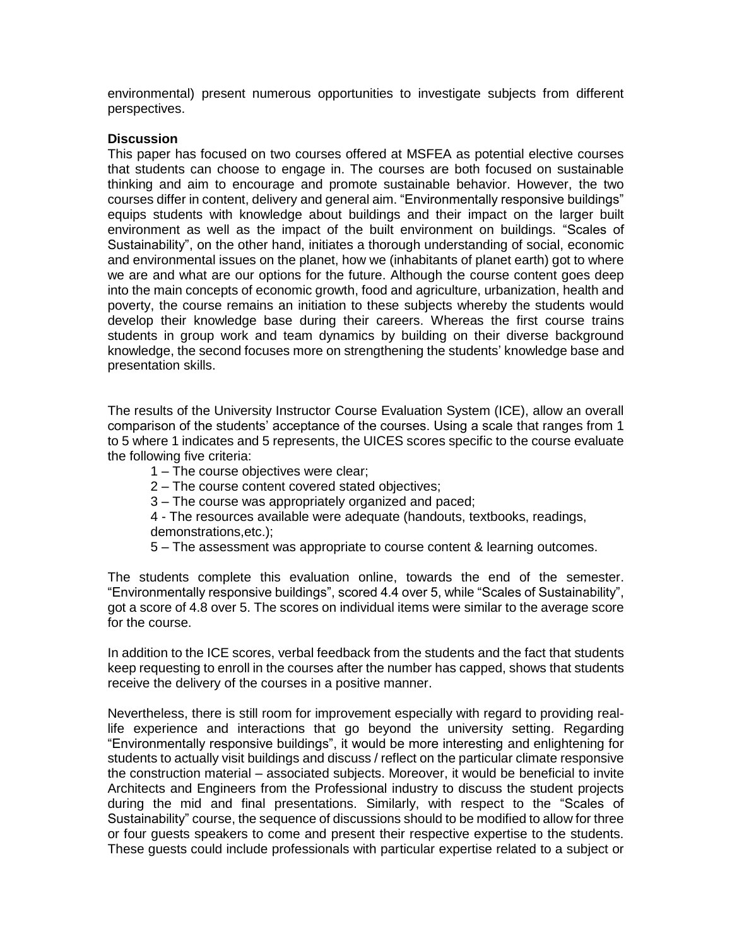environmental) present numerous opportunities to investigate subjects from different perspectives.

#### **Discussion**

This paper has focused on two courses offered at MSFEA as potential elective courses that students can choose to engage in. The courses are both focused on sustainable thinking and aim to encourage and promote sustainable behavior. However, the two courses differ in content, delivery and general aim. "Environmentally responsive buildings" equips students with knowledge about buildings and their impact on the larger built environment as well as the impact of the built environment on buildings. "Scales of Sustainability", on the other hand, initiates a thorough understanding of social, economic and environmental issues on the planet, how we (inhabitants of planet earth) got to where we are and what are our options for the future. Although the course content goes deep into the main concepts of economic growth, food and agriculture, urbanization, health and poverty, the course remains an initiation to these subjects whereby the students would develop their knowledge base during their careers. Whereas the first course trains students in group work and team dynamics by building on their diverse background knowledge, the second focuses more on strengthening the students' knowledge base and presentation skills.

The results of the University Instructor Course Evaluation System (ICE), allow an overall comparison of the students' acceptance of the courses. Using a scale that ranges from 1 to 5 where 1 indicates and 5 represents, the UICES scores specific to the course evaluate the following five criteria:

- 1 The course objectives were clear;
- 2 The course content covered stated objectives;
- 3 The course was appropriately organized and paced;
- 4 The resources available were adequate (handouts, textbooks, readings,
- demonstrations,etc.);
- 5 The assessment was appropriate to course content & learning outcomes.

The students complete this evaluation online, towards the end of the semester. "Environmentally responsive buildings", scored 4.4 over 5, while "Scales of Sustainability", got a score of 4.8 over 5. The scores on individual items were similar to the average score for the course.

In addition to the ICE scores, verbal feedback from the students and the fact that students keep requesting to enroll in the courses after the number has capped, shows that students receive the delivery of the courses in a positive manner.

Nevertheless, there is still room for improvement especially with regard to providing reallife experience and interactions that go beyond the university setting. Regarding "Environmentally responsive buildings", it would be more interesting and enlightening for students to actually visit buildings and discuss / reflect on the particular climate responsive the construction material – associated subjects. Moreover, it would be beneficial to invite Architects and Engineers from the Professional industry to discuss the student projects during the mid and final presentations. Similarly, with respect to the "Scales of Sustainability" course, the sequence of discussions should to be modified to allow for three or four guests speakers to come and present their respective expertise to the students. These guests could include professionals with particular expertise related to a subject or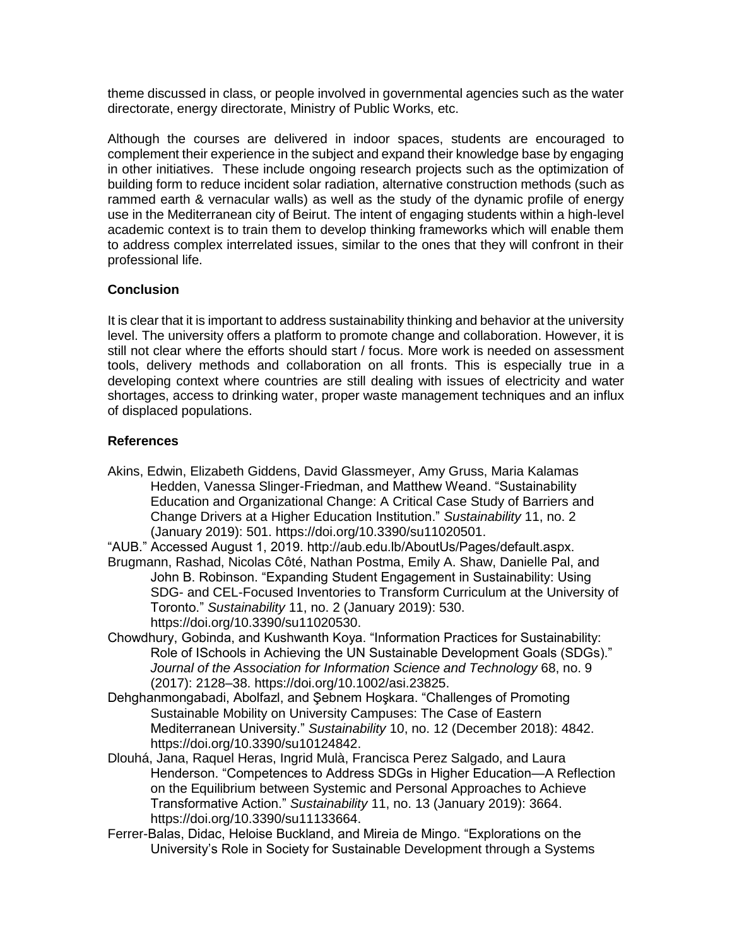theme discussed in class, or people involved in governmental agencies such as the water directorate, energy directorate, Ministry of Public Works, etc.

Although the courses are delivered in indoor spaces, students are encouraged to complement their experience in the subject and expand their knowledge base by engaging in other initiatives. These include ongoing research projects such as the optimization of building form to reduce incident solar radiation, alternative construction methods (such as rammed earth & vernacular walls) as well as the study of the dynamic profile of energy use in the Mediterranean city of Beirut. The intent of engaging students within a high-level academic context is to train them to develop thinking frameworks which will enable them to address complex interrelated issues, similar to the ones that they will confront in their professional life.

## **Conclusion**

It is clear that it is important to address sustainability thinking and behavior at the university level. The university offers a platform to promote change and collaboration. However, it is still not clear where the efforts should start / focus. More work is needed on assessment tools, delivery methods and collaboration on all fronts. This is especially true in a developing context where countries are still dealing with issues of electricity and water shortages, access to drinking water, proper waste management techniques and an influx of displaced populations.

## **References**

Akins, Edwin, Elizabeth Giddens, David Glassmeyer, Amy Gruss, Maria Kalamas Hedden, Vanessa Slinger-Friedman, and Matthew Weand. "Sustainability Education and Organizational Change: A Critical Case Study of Barriers and Change Drivers at a Higher Education Institution." *Sustainability* 11, no. 2 (January 2019): 501. https://doi.org/10.3390/su11020501.

"AUB." Accessed August 1, 2019. http://aub.edu.lb/AboutUs/Pages/default.aspx.

- Brugmann, Rashad, Nicolas Côté, Nathan Postma, Emily A. Shaw, Danielle Pal, and John B. Robinson. "Expanding Student Engagement in Sustainability: Using SDG- and CEL-Focused Inventories to Transform Curriculum at the University of Toronto." *Sustainability* 11, no. 2 (January 2019): 530. https://doi.org/10.3390/su11020530.
- Chowdhury, Gobinda, and Kushwanth Koya. "Information Practices for Sustainability: Role of ISchools in Achieving the UN Sustainable Development Goals (SDGs)." *Journal of the Association for Information Science and Technology* 68, no. 9 (2017): 2128–38. https://doi.org/10.1002/asi.23825.
- Dehghanmongabadi, Abolfazl, and Şebnem Hoşkara. "Challenges of Promoting Sustainable Mobility on University Campuses: The Case of Eastern Mediterranean University." *Sustainability* 10, no. 12 (December 2018): 4842. https://doi.org/10.3390/su10124842.
- Dlouhá, Jana, Raquel Heras, Ingrid Mulà, Francisca Perez Salgado, and Laura Henderson. "Competences to Address SDGs in Higher Education—A Reflection on the Equilibrium between Systemic and Personal Approaches to Achieve Transformative Action." *Sustainability* 11, no. 13 (January 2019): 3664. https://doi.org/10.3390/su11133664.
- Ferrer-Balas, Didac, Heloise Buckland, and Mireia de Mingo. "Explorations on the University's Role in Society for Sustainable Development through a Systems